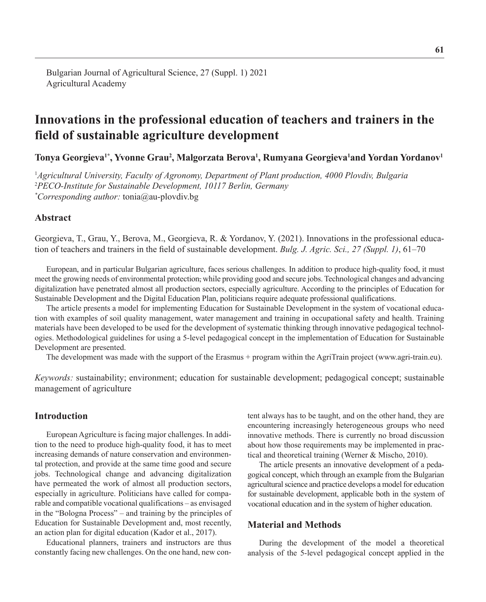# **Innovations in the professional education of teachers and trainers in the field of sustainable agriculture development**

Tonya Georgieva<sup>1\*</sup>, Yvonne Grau<sup>2</sup>, Malgorzata Berova<sup>1</sup>, Rumyana Georgieva<sup>1</sup>and Yordan Yordanov<sup>1</sup>

1 *Agricultural University, Faculty of Agronomy, Department of Plant production, 4000 Plovdiv, Bulgaria* 2 *PECO-Institute for Sustainable Development, 10117 Berlin, Germany \* Corresponding author:* tonia@au-plovdiv.bg

# **Abstract**

Georgieva, T., Grau, Y., Berova, M., Georgieva, R. & Yordanov, Y. (2021). Innovations in the professional education of teachers and trainers in the field of sustainable development. *Bulg. J. Agric. Sci., 27 (Suppl. 1)*, 61–70

European, and in particular Bulgarian agriculture, faces serious challenges. In addition to produce high-quality food, it must meet the growing needs of environmental protection, while providing good and secure jobs. Technological changes and advancing digitalization have penetrated almost all production sectors, especially agriculture. According to the principles of Education for Sustainable Development and the Digital Education Plan, politicians require adequate professional qualifications.

The article presents a model for implementing Education for Sustainable Development in the system of vocational education with examples of soil quality management, water management and training in occupational safety and health. Training materials have been developed to be used for the development of systematic thinking through innovative pedagogical technologies. Methodological guidelines for using a 5-level pedagogical concept in the implementation of Education for Sustainable Development are presented.

The development was made with the support of the Erasmus + program within the AgriTrain project ([www.agri-train.eu](http://www.agri-train.eu)).

*Keywords:* [sustainability;](https://www.voced.edu.au/search/site/sm_metadata.subject%3A%22Sustainability%22) [environment;](https://www.voced.edu.au/search/site/sm_metadata.keyterm%3A%22Environment%22) education for sustainable development; pedagogical concept; sustainable management of agriculture

# **Introduction**

European Agriculture is facing major challenges. In addition to the need to produce high-quality food, it has to meet increasing demands of nature conservation and environmental protection, and provide at the same time good and secure jobs. Technological change and advancing digitalization have permeated the work of almost all production sectors, especially in agriculture. Politicians have called for comparable and compatible vocational qualifications – as envisaged in the "Bologna Process" – and training by the principles of Education for Sustainable Development and, most recently, an action plan for digital education (Kador et al., 2017).

Educational planners, trainers and instructors are thus constantly facing new challenges. On the one hand, new content always has to be taught, and on the other hand, they are encountering increasingly heterogeneous groups who need innovative methods. There is currently no broad discussion about how those requirements may be implemented in practical and theoretical training (Werner & Mischo, 2010).

The article presents an innovative development of a pedagogical concept, which through an example from the Bulgarian agricultural science and practice develops a model for education for sustainable development, applicable both in the system of vocational education and in the system of higher education.

# **Material and Methods**

During the development of the model a theoretical analysis of the 5-level pedagogical concept applied in the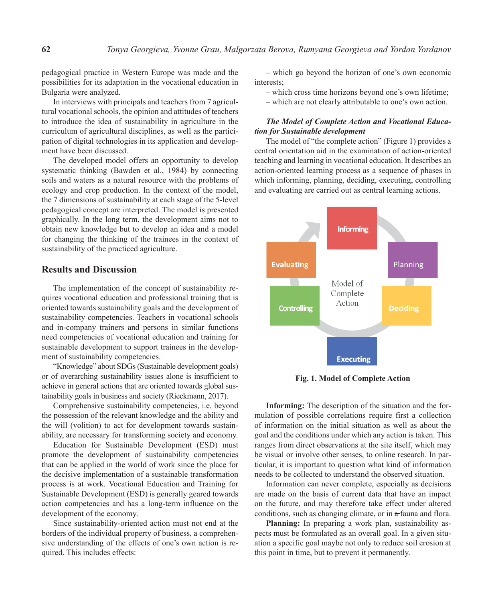pedagogical practice in Western Europe was made and the possibilities for its adaptation in the vocational education in Bulgaria were analyzed.

In interviews with principals and teachers from 7 agricultural vocational schools, the opinion and attitudes of teachers to introduce the idea of sustainability in agriculture in the curriculum of agricultural disciplines, as well as the participation of digital technologies in its application and development have been discussed.

The developed model offers an opportunity to develop systematic thinking (Bawden et al., 1984) by connecting soils and waters as a natural resource with the problems of ecology and crop production. In the context of the model, the 7 dimensions of sustainability at each stage of the 5-level pedagogical concept are interpreted. The model is presented graphically. In the long term, the development aims not to obtain new knowledge but to develop an idea and a model for changing the thinking of the trainees in the context of sustainability of the practiced agriculture.

## **Results and Discussion**

The implementation of the concept of sustainability requires vocational education and professional training that is oriented towards sustainability goals and the development of sustainability competencies. Teachers in vocational schools and in-company trainers and persons in similar functions need competencies of vocational education and training for sustainable development to support trainees in the development of sustainability competencies.

"Knowledge" about SDGs (Sustainable development goals) or of overarching sustainability issues alone is insufficient to achieve in general actions that are oriented towards global sustainability goals in business and society [\(Rieckmann,](https://www.google.bg/search?hl=bg&tbo=p&tbm=bks&q=inauthor:%22Rieckmann,+Marco%22&source=gbs_metadata_r&cad=5) 2017).

Comprehensive sustainability competencies, i.e. beyond the possession of the relevant knowledge and the ability and the will (volition) to act for development towards sustainability, are necessary for transforming society and economy.

Education for Sustainable Development (ESD) must promote the development of sustainability competencies that can be applied in the world of work since the place for the decisive implementation of a sustainable transformation process is at work. Vocational Education and Training for Sustainable Development (ESD) is generally geared towards action competencies and has a long-term influence on the development of the economy.

Since sustainability-oriented action must not end at the borders of the individual property of business, a comprehensive understanding of the effects of one's own action is required. This includes effects:

– which go beyond the horizon of one's own economic interests;

- which cross time horizons beyond one's own lifetime;
- which are not clearly attributable to one's own action.

## *The Model of Complete Action and Vocational Education for Sustainable development*

The model of "the complete action" (Figure 1) provides a central orientation aid in the examination of action-oriented teaching and learning in vocational education. It describes an action-oriented learning process as a sequence of phases in which informing, planning, deciding, executing, controlling and evaluating are carried out as central learning actions.



**Fig. 1. Model of Complete Action**

**Informing:** The description of the situation and the formulation of possible correlations require first a collection of information on the initial situation as well as about the goal and the conditions under which any action is taken. This ranges from direct observations at the site itself, which may be visual or involve other senses, to online research. In particular, it is important to question what kind of information needs to be collected to understand the observed situation.

Information can never complete, especially as decisions are made on the basis of current data that have an impact on the future, and may therefore take effect under altered conditions, such as changing climate, or in a fauna and flora.

**Planning:** In preparing a work plan, sustainability aspects must be formulated as an overall goal. In a given situation a specific goal maybe not only to reduce soil erosion at this point in time, but to prevent it permanently.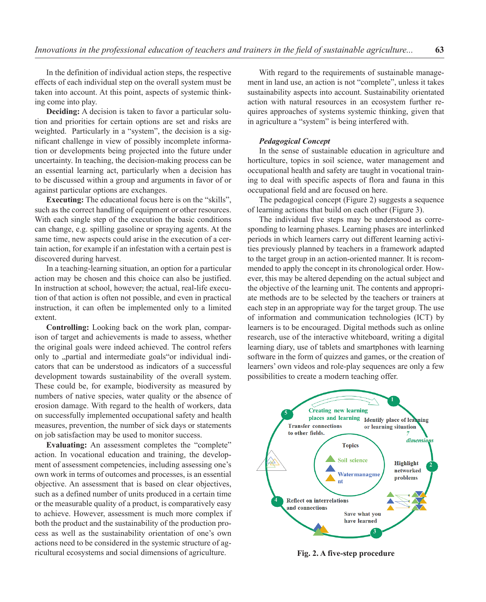In the definition of individual action steps, the respective effects of each individual step on the overall system must be taken into account. At this point, aspects of systemic thinking come into play.

**Deciding:** A decision is taken to favor a particular solution and priorities for certain options are set and risks are weighted. Particularly in a "system", the decision is a significant challenge in view of possibly incomplete information or developments being projected into the future under uncertainty. In teaching, the decision-making process can be an essential learning act, particularly when a decision has to be discussed within a group and arguments in favor of or against particular options are exchanges.

**Executing:** The educational focus here is on the "skills", such as the correct handling of equipment or other resources. With each single step of the execution the basic conditions can change, e.g. spilling gasoline or spraying agents. At the same time, new aspects could arise in the execution of a certain action, for example if an infestation with a certain pest is discovered during harvest.

In a teaching-learning situation, an option for a particular action may be chosen and this choice can also be justified. In instruction at school, however, the actual, real-life execution of that action is often not possible, and even in practical instruction, it can often be implemented only to a limited extent.

**Controlling:** Looking back on the work plan, comparison of target and achievements is made to assess, whether the original goals were indeed achieved. The control refers only to "partial and intermediate goals"or individual indicators that can be understood as indicators of a successful development towards sustainability of the overall system. These could be, for example, biodiversity as measured by numbers of native species, water quality or the absence of erosion damage. With regard to the health of workers, data on successfully implemented occupational safety and health measures, prevention, the number of sick days or statements on job satisfaction may be used to monitor success.

**Evaluating:** An assessment completes the "complete" action. In vocational education and training, the development of assessment competencies, including assessing one's own work in terms of outcomes and processes, is an essential objective. An assessment that is based on clear objectives, such as a defined number of units produced in a certain time or the measurable quality of a product, is comparatively easy to achieve. However, assessment is much more complex if both the product and the sustainability of the production process as well as the sustainability orientation of one's own actions need to be considered in the systemic structure of agricultural ecosystems and social dimensions of agriculture.

With regard to the requirements of sustainable management in land use, an action is not "complete", unless it takes sustainability aspects into account. Sustainability orientated action with natural resources in an ecosystem further requires approaches of systems systemic thinking, given that in agriculture a "system" is being interfered with.

#### *Pedagogical Concept*

In the sense of sustainable education in agriculture and horticulture, topics in soil science, water management and occupational health and safety are taught in vocational training to deal with specific aspects of flora and fauna in this occupational field and are focused on here.

The pedagogical concept (Figure 2) suggests a sequence of learning actions that build on each other (Figure 3).

The individual five steps may be understood as corresponding to learning phases. Learning phases are interlinked periods in which learners carry out different learning activities previously planned by teachers in a framework adapted to the target group in an action-oriented manner. It is recommended to apply the concept in its chronological order. However, this may be altered depending on the actual subject and the objective of the learning unit. The contents and appropriate methods are to be selected by the teachers or trainers at each step in an appropriate way for the target group. The use of information and communication technologies (ICT) by learners is to be encouraged. Digital methods such as online research, use of the interactive whiteboard, writing a digital learning diary, use of tablets and smartphones with learning software in the form of quizzes and games, or the creation of learners' own videos and role-play sequences are only a few possibilities to create a modern teaching offer.



**Fig. 2. A five-step procedure**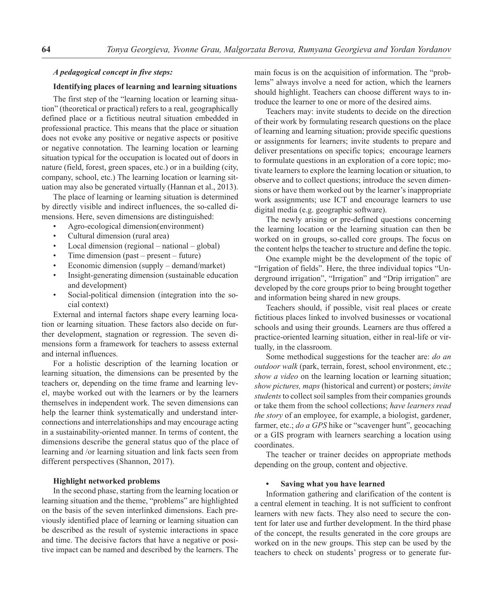## *A pedagogical concept in five steps:*

## **Identifying places of learning and learning situations**

The first step of the "learning location or learning situation" (theoretical or practical) refers to a real, geographically defined place or a fictitious neutral situation embedded in professional practice. This means that the place or situation does not evoke any positive or negative aspects or positive or negative connotation. The learning location or learning situation typical for the occupation is located out of doors in nature (field, forest, green spaces, etc.) or in a building (city, company, school, etc.) The learning location or learning situation may also be generated virtually (Hannan et al., 2013).

The place of learning or learning situation is determined by directly visible and indirect influences, the so-called dimensions. Here, seven dimensions are distinguished:

- Agro-ecological dimension(environment)
- Cultural dimension (rural area)
- Local dimension (regional national global)
- Time dimension (past present future)
- Economic dimension (supply demand/market)
- Insight-generating dimension (sustainable education and development)
- Social-political dimension (integration into the social context)

External and internal factors shape every learning location or learning situation. These factors also decide on further development, stagnation or regression. The seven dimensions form a framework for teachers to assess external and internal influences.

For a holistic description of the learning location or learning situation, the dimensions can be presented by the teachers or, depending on the time frame and learning level, maybe worked out with the learners or by the learners themselves in independent work. The seven dimensions can help the learner think systematically and understand interconnections and interrelationships and may encourage acting in a sustainability-oriented manner. In terms of content, the dimensions describe the general status quo of the place of learning and /or learning situation and link facts seen from different perspectives (Shannon, 2017).

#### **Highlight networked problems**

In the second phase, starting from the learning location or learning situation and the theme, "problems" are highlighted on the basis of the seven interlinked dimensions. Each previously identified place of learning or learning situation can be described as the result of systemic interactions in space and time. The decisive factors that have a negative or positive impact can be named and described by the learners. The main focus is on the acquisition of information. The "problems" always involve a need for action, which the learners should highlight. Teachers can choose different ways to introduce the learner to one or more of the desired aims.

Teachers may: invite students to decide on the direction of their work by formulating research questions on the place of learning and learning situation; provide specific questions or assignments for learners; invite students to prepare and deliver presentations on specific topics; encourage learners to formulate questions in an exploration of a core topic; motivate learners to explore the learning location or situation, to observe and to collect questions; introduce the seven dimensions or have them worked out by the learner's inappropriate work assignments; use ICT and encourage learners to use digital media (e.g. geographic software).

The newly arising or pre-defined questions concerning the learning location or the learning situation can then be worked on in groups, so-called core groups. The focus on the content helps the teacher to structure and define the topic.

One example might be the development of the topic of "Irrigation of fields". Here, the three individual topics "Underground irrigation", "Irrigation" and "Drip irrigation" are developed by the core groups prior to being brought together and information being shared in new groups.

Teachers should, if possible, visit real places or create fictitious places linked to involved businesses or vocational schools and using their grounds. Learners are thus offered a practice-oriented learning situation, either in real-life or virtually, in the classroom.

Some methodical suggestions for the teacher are: *do an outdoor walk* (park, terrain, forest, school environment, etc.; *show a video* on the learning location or learning situation; *show pictures, maps* (historical and current) or posters; *invite students* to collect soil samples from their companies grounds or take them from the school collections; *have learners read the story* of an employee, for example, a biologist, gardener, farmer, etc.; *do a GPS* hike or "scavenger hunt", geocaching or a GIS program with learners searching a location using coordinates.

The teacher or trainer decides on appropriate methods depending on the group, content and objective.

## **• Saving what you have learned**

Information gathering and clarification of the content is a central element in teaching. It is not sufficient to confront learners with new facts. They also need to secure the content for later use and further development. In the third phase of the concept, the results generated in the core groups are worked on in the new groups. This step can be used by the teachers to check on students' progress or to generate fur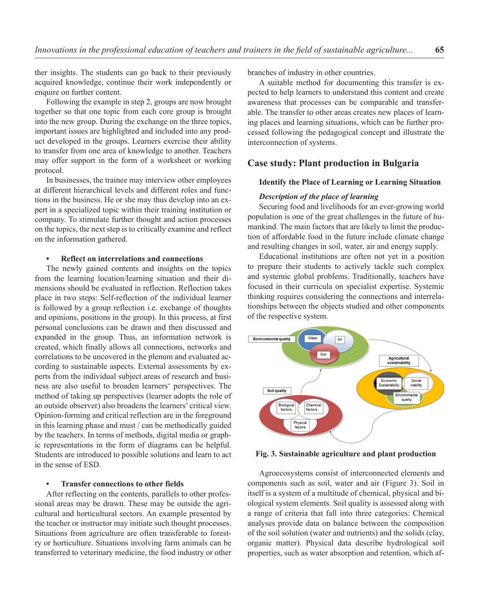ther insights. The students can go back to their previously acquired knowledge, continue their work independently or enquire on further content.

Following the example in step 2, groups are now brought together so that one topic from each core group is brought into the new group. During the exchange on the three topics, important issues are highlighted and included into any product developed in the groups. Learners exercise their ability to transfer from one area of knowledge to another. Teachers may offer support in the form of a worksheet or working protocol.

In businesses, the trainee may interview other employees at different hierarchical levels and different roles and functions in the business. He or she may thus develop into an expert in a specialized topic within their training institution or company. To stimulate further thought and action processes on the topics, the next step is to critically examine and reflect on the information gathered.

#### **• Reflect on interrelations and connections**

The newly gained contents and insights on the topics from the learning location/learning situation and their dimensions should be evaluated in reflection. Reflection takes place in two steps: Self-reflection of the individual learner is followed by a group reflection i.e. exchange of thoughts and opinions, positions in the group). In this process, at first personal conclusions can be drawn and then discussed and expanded in the group. Thus, an information network is created, which finally allows all connections, networks and correlations to be uncovered in the plenum and evaluated according to sustainable aspects. External assessments by experts from the individual subject areas of research and business are also useful to broaden learners' perspectives. The method of taking up perspectives (learner adopts the role of an outside observer) also broadens the learners' critical view. Opinion-forming and critical reflection are in the foreground in this learning phase and must / can be methodically guided by the teachers. In terms of methods, digital media or graphic representations in the form of diagrams can be helpful. Students are introduced to possible solutions and learn to act in the sense of ESD.

## **• Transfer connections to other fields**

After reflecting on the contents, parallels to other professional areas may be drawn. These may be outside the agricultural and horticultural sectors. An example presented by the teacher or instructor may initiate such thought processes. Situations from agriculture are often transferable to forestry or horticulture. Situations involving farm animals can be transferred to veterinary medicine, the food industry or other branches of industry in other countries.

A suitable method for documenting this transfer is expected to help learners to understand this content and create awareness that processes can be comparable and transferable. The transfer to other areas creates new places of learning places and learning situations, which can be further processed following the pedagogical concept and illustrate the interconnection of systems.

# **Case study: Plant production in Bulgaria**

## **Identify the Place of Learning or Learning Situation**

## *Description of the place of learning*

Securing food and livelihoods for an ever-growing world population is one of the great challenges in the future of humankind. The main factors that are likely to limit the production of affordable food in the future include climate change and resulting changes in soil, water, air and energy supply.

Educational institutions are often not yet in a position to prepare their students to actively tackle such complex and systemic global problems. Traditionally, teachers have focused in their curricula on specialist expertise. Systemic thinking requires considering the connections and interrelationships between the objects studied and other components of the respective system.



**Fig. 3. Sustainable agriculture and plant production** 

Agroecosystems consist of interconnected elements and components such as soil, water and air (Figure 3). Soil in itself is a system of a multitude of chemical, physical and biological system elements. Soil quality is assessed along with a range of criteria that fall into three categories: Chemical analyses provide data on balance between the composition of the soil solution (water and nutrients) and the solids (clay, organic matter). Physical data describe hydrological soil properties, such as water absorption and retention, which af-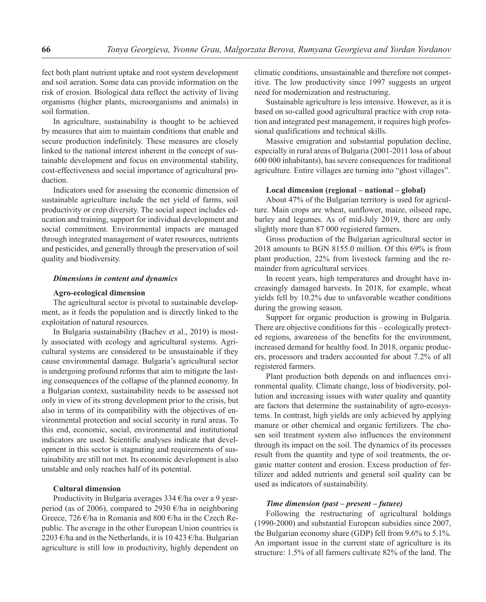fect both plant nutrient uptake and root system development and soil aeration. Some data can provide information on the risk of erosion. Biological data reflect the activity of living organisms (higher plants, microorganisms and animals) in soil formation.

In agriculture, sustainability is thought to be achieved by measures that aim to maintain conditions that enable and secure production indefinitely. These measures are closely linked to the national interest inherent in the concept of sustainable development and focus on environmental stability, cost-effectiveness and social importance of agricultural production.

Indicators used for assessing the economic dimension of sustainable agriculture include the net yield of farms, soil productivity or crop diversity. The social aspect includes education and training, support for individual development and social commitment. Environmental impacts are managed through integrated management of water resources, nutrients and pesticides, and generally through the preservation of soil quality and biodiversity.

#### *Dimensions in content and dynamics*

#### **Agro-ecological dimension**

The agricultural sector is pivotal to sustainable development, as it feeds the population and is directly linked to the exploitation of natural resources.

In Bulgaria sustainability (Bachev et al., 2019) is mostly associated with ecology and agricultural systems. Agricultural systems are considered to be unsustainable if they cause environmental damage. Bulgaria's agricultural sector is undergoing profound reforms that aim to mitigate the lasting consequences of the collapse of the planned economy. In a Bulgarian context, sustainability needs to be assessed not only in view of its strong development prior to the crisis, but also in terms of its compatibility with the objectives of environmental protection and social security in rural areas. To this end, economic, social, environmental and institutional indicators are used. Scientific analyses indicate that development in this sector is stagnating and requirements of sustainability are still not met. Its economic development is also unstable and only reaches half of its potential.

## **Cultural dimension**

Productivity in Bulgaria averages 334 €/ha over a 9 yearperiod (as of 2006), compared to 2930  $\epsilon$ /ha in neighboring Greece, 726 €/ha in Romania and 800 €/ha in the Czech Republic. The average in the other European Union countries is 2203 €/ha and in the Netherlands, it is 10 423 €/ha. Bulgarian agriculture is still low in productivity, highly dependent on climatic conditions, unsustainable and therefore not competitive. The low productivity since 1997 suggests an urgent need for modernization and restructuring.

Sustainable agriculture is less intensive. However, as it is based on so-called good agricultural practice with crop rotation and integrated pest management, it requires high professional qualifications and technical skills.

Massive emigration and substantial population decline, especially in rural areas of Bulgaria (2001-2011 loss of about 600 000 inhabitants), has severe consequences for traditional agriculture. Entire villages are turning into "ghost villages".

#### **Local dimension (regional – national – global)**

About 47% of the Bulgarian territory is used for agriculture. Main crops are wheat, sunflower, maize, oilseed rape, barley and legumes. As of mid-July 2019, there are only slightly more than 87 000 registered farmers.

Gross production of the Bulgarian agricultural sector in 2018 amounts to BGN 8155.0 million. Of this 69% is from plant production, 22% from livestock farming and the remainder from agricultural services.

In recent years, high temperatures and drought have increasingly damaged harvests. In 2018, for example, wheat yields fell by 10.2% due to unfavorable weather conditions during the growing season.

Support for organic production is growing in Bulgaria. There are objective conditions for this – ecologically protected regions, awareness of the benefits for the environment, increased demand for healthy food. In 2018, organic producers, processors and traders accounted for about 7.2% of all registered farmers.

Plant production both depends on and influences environmental quality. Climate change, loss of biodiversity, pollution and increasing issues with water quality and quantity are factors that determine the sustainability of agro-ecosystems. In contrast, high yields are only achieved by applying manure or other chemical and organic fertilizers. The chosen soil treatment system also influences the environment through its impact on the soil. The dynamics of its processes result from the quantity and type of soil treatments, the organic matter content and erosion. Excess production of fertilizer and added nutrients and general soil quality can be used as indicators of sustainability.

#### *Time dimension (past – present – future)*

Following the restructuring of agricultural holdings (1990-2000) and substantial European subsidies since 2007, the Bulgarian economy share (GDP) fell from 9.6% to 5.1%. An important issue in the current state of agriculture is its structure: 1.5% of all farmers cultivate 82% of the land. The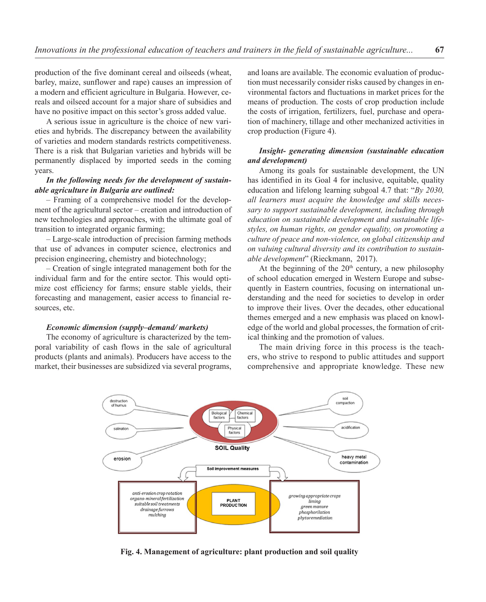production of the five dominant cereal and oilseeds (wheat, barley, maize, sunflower and rape) causes an impression of a modern and efficient agriculture in Bulgaria. However, cereals and oilseed account for a major share of subsidies and have no positive impact on this sector's gross added value.

A serious issue in agriculture is the choice of new varieties and hybrids. The discrepancy between the availability of varieties and modern standards restricts competitiveness. There is a risk that Bulgarian varieties and hybrids will be permanently displaced by imported seeds in the coming years.

# *In the following needs for the development of sustainable agriculture in Bulgaria are outlined:*

– Framing of a comprehensive model for the development of the agricultural sector – creation and introduction of new technologies and approaches, with the ultimate goal of transition to integrated organic farming;

– Large-scale introduction of precision farming methods that use of advances in computer science, electronics and precision engineering, chemistry and biotechnology;

– Creation of single integrated management both for the individual farm and for the entire sector. This would optimize cost efficiency for farms; ensure stable yields, their forecasting and management, easier access to financial resources, etc.

#### *Economic dimension (supply–demand/ markets)*

The economy of agriculture is characterized by the temporal variability of cash flows in the sale of agricultural products (plants and animals). Producers have access to the market, their businesses are subsidized via several programs, and loans are available. The economic evaluation of production must necessarily consider risks caused by changes in environmental factors and fluctuations in market prices for the means of production. The costs of crop production include the costs of irrigation, fertilizers, fuel, purchase and operation of machinery, tillage and other mechanized activities in crop production (Figure 4).

# *Insight- generating dimension (sustainable education and development)*

Among its goals for sustainable development, the UN has identified in its Goal 4 for inclusive, equitable, quality education and lifelong learning subgoal 4.7 that: "*By 2030, all learners must acquire the knowledge and skills necessary to support sustainable development, including through education on sustainable development and sustainable lifestyles, on human rights, on gender equality, on promoting a culture of peace and non-violence, on global citizenship and on valuing cultural diversity and its contribution to sustainable development*" ([Rieckmann,](https://www.google.bg/search?hl=bg&tbo=p&tbm=bks&q=inauthor:%22Rieckmann,+Marco%22&source=gbs_metadata_r&cad=5) 2017).

At the beginning of the  $20<sup>th</sup>$  century, a new philosophy of school education emerged in Western Europe and subsequently in Eastern countries, focusing on international understanding and the need for societies to develop in order to improve their lives. Over the decades, other educational themes emerged and a new emphasis was placed on knowledge of the world and global processes, the formation of critical thinking and the promotion of values.

The main driving force in this process is the teachers, who strive to respond to public attitudes and support comprehensive and appropriate knowledge. These new



**Fig. 4. Management of agriculture: plant production and soil quality**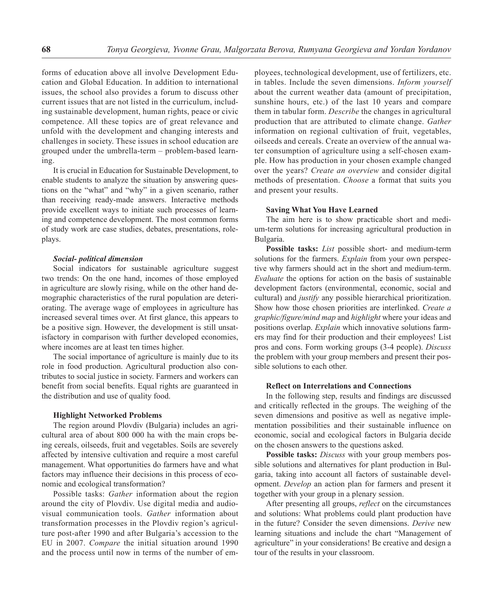forms of education above all involve Development Education and Global Education. In addition to international issues, the school also provides a forum to discuss other current issues that are not listed in the curriculum, including sustainable development, human rights, peace or civic competence. All these topics are of great relevance and unfold with the development and changing interests and challenges in society. These issues in school education are grouped under the umbrella-term – problem-based learning.

It is crucial in Education for Sustainable Development, to enable students to analyze the situation by answering questions on the "what" and "why" in a given scenario, rather than receiving ready-made answers. Interactive methods provide excellent ways to initiate such processes of learning and competence development. The most common forms of study work are case studies, debates, presentations, roleplays.

#### *Social- political dimension*

Social indicators for sustainable agriculture suggest two trends: On the one hand, incomes of those employed in agriculture are slowly rising, while on the other hand demographic characteristics of the rural population are deteriorating. The average wage of employees in agriculture has increased several times over. At first glance, this appears to be a positive sign. However, the development is still unsatisfactory in comparison with further developed economies, where incomes are at least ten times higher.

The social importance of agriculture is mainly due to its role in food production. Agricultural production also contributes to social justice in society. Farmers and workers can benefit from social benefits. Equal rights are guaranteed in the distribution and use of quality food.

#### **Highlight Networked Problems**

The region around Plovdiv (Bulgaria) includes an agricultural area of about 800 000 ha with the main crops being cereals, oilseeds, fruit and vegetables. Soils are severely affected by intensive cultivation and require a most careful management. What opportunities do farmers have and what factors may influence their decisions in this process of economic and ecological transformation?

Possible tasks: *Gather* information about the region around the city of Plovdiv. Use digital media and audiovisual communication tools. *Gather* information about transformation processes in the Plovdiv region's agriculture post-after 1990 and after Bulgaria's accession to the EU in 2007. *Compare* the initial situation around 1990 and the process until now in terms of the number of employees, technological development, use of fertilizers, etc. in tables. Include the seven dimensions. *Inform yourself* about the current weather data (amount of precipitation, sunshine hours, etc.) of the last 10 years and compare them in tabular form. *Describe* the changes in agricultural production that are attributed to climate change. *Gather* information on regional cultivation of fruit, vegetables, oilseeds and cereals. Create an overview of the annual water consumption of agriculture using a self-chosen example. How has production in your chosen example changed over the years? *Create an overview* and consider digital methods of presentation. *Choose* a format that suits you and present your results.

#### **Saving What You Have Learned**

The aim here is to show practicable short and medium-term solutions for increasing agricultural production in Bulgaria.

**Possible tasks:** *List* possible short- and medium-term solutions for the farmers. *Explain* from your own perspective why farmers should act in the short and medium-term. *Evaluate* the options for action on the basis of sustainable development factors (environmental, economic, social and cultural) and *justify* any possible hierarchical prioritization. Show how those chosen priorities are interlinked. *Create a graphic/figure/mind map* and *highlight* where your ideas and positions overlap. *Explain* which innovative solutions farmers may find for their production and their employees! List pros and cons. Form working groups (3-4 people). *Discuss* the problem with your group members and present their possible solutions to each other.

#### **Reflect on Interrelations and Connections**

In the following step, results and findings are discussed and critically reflected in the groups. The weighing of the seven dimensions and positive as well as negative implementation possibilities and their sustainable influence on economic, social and ecological factors in Bulgaria decide on the chosen answers to the questions asked.

**Possible tasks:** *Discuss* with your group members possible solutions and alternatives for plant production in Bulgaria, taking into account all factors of sustainable development. *Develop* an action plan for farmers and present it together with your group in a plenary session.

After presenting all groups, *reflect* on the circumstances and solutions: What problems could plant production have in the future? Consider the seven dimensions. *Derive* new learning situations and include the chart "Management of agriculture" in your considerations! Be creative and design a tour of the results in your classroom.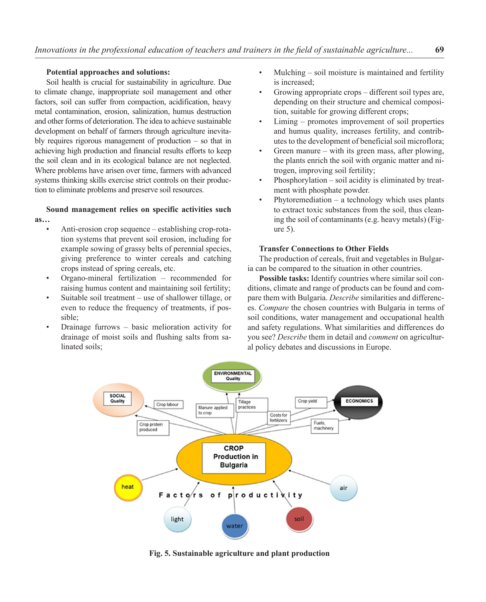#### **Potential approaches and solutions:**

Soil health is crucial for sustainability in agriculture. Due to climate change, inappropriate soil management and other factors, soil can suffer from compaction, acidification, heavy metal contamination, erosion, salinization, humus destruction and other forms of deterioration. The idea to achieve sustainable development on behalf of farmers through agriculture inevitably requires rigorous management of production – so that in achieving high production and financial results efforts to keep the soil clean and in its ecological balance are not neglected. Where problems have arisen over time, farmers with advanced systems thinking skills exercise strict controls on their production to eliminate problems and preserve soil resources.

## **Sound management relies on specific activities such as…**

- Anti-erosion crop sequence establishing crop-rotation systems that prevent soil erosion, including for example sowing of grassy belts of perennial species, giving preference to winter cereals and catching crops instead of spring cereals, etc.
- Organo-mineral fertilization recommended for raising humus content and maintaining soil fertility;
- Suitable soil treatment use of shallower tillage, or even to reduce the frequency of treatments, if possible;
- Drainage furrows basic melioration activity for drainage of moist soils and flushing salts from salinated soils;
- Mulching soil moisture is maintained and fertility is increased;
- Growing appropriate crops different soil types are, depending on their structure and chemical composition, suitable for growing different crops;
- Liming promotes improvement of soil properties and humus quality, increases fertility, and contributes to the development of beneficial soil microflora;
- Green manure with its green mass, after plowing, the plants enrich the soil with organic matter and nitrogen, improving soil fertility;
- Phosphorylation soil acidity is eliminated by treatment with phosphate powder.
- Phytoremediation  $-$  a technology which uses plants to extract toxic substances from the soil, thus cleaning the soil of contaminants (e.g. heavy metals) (Figure 5).

## **Transfer Connections to Other Fields**

The production of cereals, fruit and vegetables in Bulgaria can be compared to the situation in other countries.

**Possible tasks:** Identify countries where similar soil conditions, climate and range of products can be found and compare them with Bulgaria. *Describe* similarities and differences. *Compare* the chosen countries with Bulgaria in terms of soil conditions, water management and occupational health and safety regulations. What similarities and differences do you see? *Describe* them in detail and *comment* on agricultural policy debates and discussions in Europe.



**Fig. 5. Sustainable agriculture and plant production**